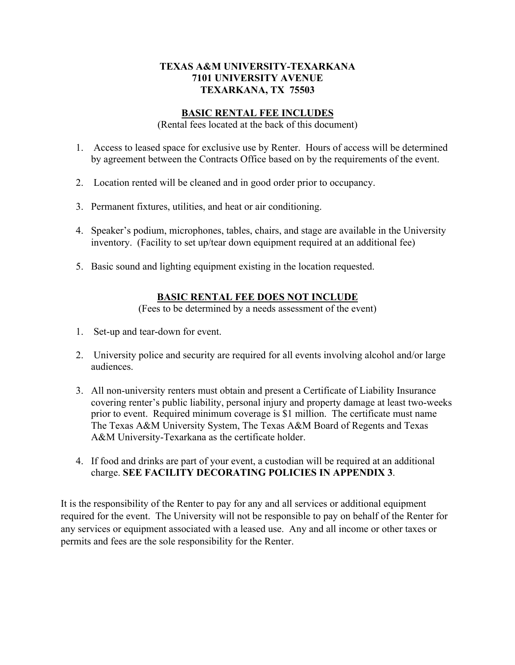## **TEXAS A&M UNIVERSITY-TEXARKANA 7101 UNIVERSITY AVENUE TEXARKANA, TX 75503**

## **BASIC RENTAL FEE INCLUDES**

(Rental fees located at the back of this document)

- 1. Access to leased space for exclusive use by Renter. Hours of access will be determined by agreement between the Contracts Office based on by the requirements of the event.
- 2. Location rented will be cleaned and in good order prior to occupancy.
- 3. Permanent fixtures, utilities, and heat or air conditioning.
- 4. Speaker's podium, microphones, tables, chairs, and stage are available in the University inventory. (Facility to set up/tear down equipment required at an additional fee)
- 5. Basic sound and lighting equipment existing in the location requested.

## **BASIC RENTAL FEE DOES NOT INCLUDE**

(Fees to be determined by a needs assessment of the event)

- 1. Set-up and tear-down for event.
- 2. University police and security are required for all events involving alcohol and/or large audiences.
- 3. All non-university renters must obtain and present a Certificate of Liability Insurance covering renter's public liability, personal injury and property damage at least two-weeks prior to event. Required minimum coverage is \$1 million. The certificate must name The Texas A&M University System, The Texas A&M Board of Regents and Texas A&M University-Texarkana as the certificate holder.
- 4. If food and drinks are part of your event, a custodian will be required at an additional charge. **SEE FACILITY DECORATING POLICIES IN APPENDIX 3**.

It is the responsibility of the Renter to pay for any and all services or additional equipment required for the event. The University will not be responsible to pay on behalf of the Renter for any services or equipment associated with a leased use. Any and all income or other taxes or permits and fees are the sole responsibility for the Renter.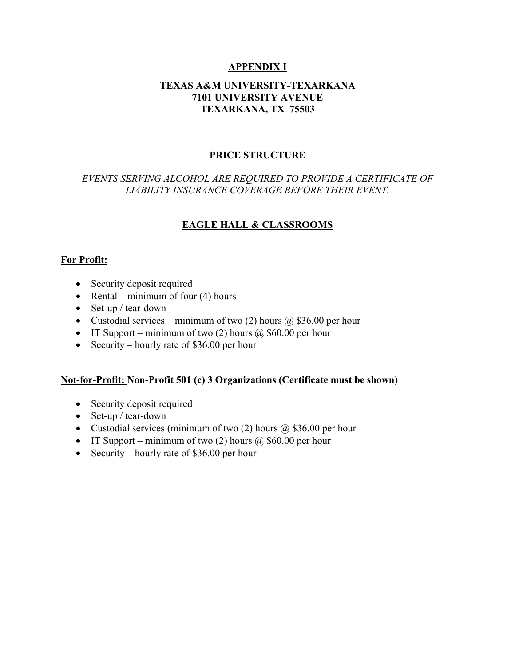# **APPENDIX I**

## **TEXAS A&M UNIVERSITY-TEXARKANA 7101 UNIVERSITY AVENUE TEXARKANA, TX 75503**

## **PRICE STRUCTURE**

# *EVENTS SERVING ALCOHOL ARE REQUIRED TO PROVIDE A CERTIFICATE OF LIABILITY INSURANCE COVERAGE BEFORE THEIR EVENT.*

# **EAGLE HALL & CLASSROOMS**

#### **For Profit:**

- Security deposit required
- Rental minimum of four  $(4)$  hours
- Set-up / tear-down
- Custodial services minimum of two (2) hours  $\omega$  \$36.00 per hour
- IT Support minimum of two (2) hours  $\omega$  \$60.00 per hour
- Security hourly rate of \$36.00 per hour

#### **Not-for-Profit: Non-Profit 501 (c) 3 Organizations (Certificate must be shown)**

- Security deposit required
- Set-up / tear-down
- Custodial services (minimum of two  $(2)$  hours  $(2)$  \$36.00 per hour
- IT Support minimum of two (2) hours  $\omega$  \$60.00 per hour
- Security hourly rate of \$36.00 per hour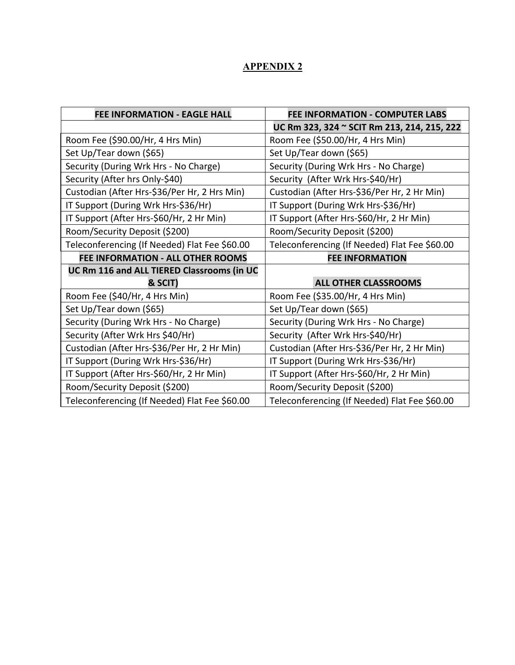# **APPENDIX 2**

| <b>FEE INFORMATION - EAGLE HALL</b>           | <b>FEE INFORMATION - COMPUTER LABS</b>        |
|-----------------------------------------------|-----------------------------------------------|
|                                               | UC Rm 323, 324 ~ SCIT Rm 213, 214, 215, 222   |
| Room Fee (\$90.00/Hr, 4 Hrs Min)              | Room Fee (\$50.00/Hr, 4 Hrs Min)              |
| Set Up/Tear down (\$65)                       | Set Up/Tear down (\$65)                       |
| Security (During Wrk Hrs - No Charge)         | Security (During Wrk Hrs - No Charge)         |
| Security (After hrs Only-\$40)                | Security (After Wrk Hrs-\$40/Hr)              |
| Custodian (After Hrs-\$36/Per Hr, 2 Hrs Min)  | Custodian (After Hrs-\$36/Per Hr, 2 Hr Min)   |
| IT Support (During Wrk Hrs-\$36/Hr)           | IT Support (During Wrk Hrs-\$36/Hr)           |
| IT Support (After Hrs-\$60/Hr, 2 Hr Min)      | IT Support (After Hrs-\$60/Hr, 2 Hr Min)      |
| Room/Security Deposit (\$200)                 | Room/Security Deposit (\$200)                 |
| Teleconferencing (If Needed) Flat Fee \$60.00 | Teleconferencing (If Needed) Flat Fee \$60.00 |
| <b>FEE INFORMATION - ALL OTHER ROOMS</b>      | <b>FEE INFORMATION</b>                        |
| UC Rm 116 and ALL TIERED Classrooms (in UC    |                                               |
| & SCIT)                                       | <b>ALL OTHER CLASSROOMS</b>                   |
| Room Fee (\$40/Hr, 4 Hrs Min)                 | Room Fee (\$35.00/Hr, 4 Hrs Min)              |
| Set Up/Tear down (\$65)                       | Set Up/Tear down (\$65)                       |
| Security (During Wrk Hrs - No Charge)         | Security (During Wrk Hrs - No Charge)         |
| Security (After Wrk Hrs \$40/Hr)              | Security (After Wrk Hrs-\$40/Hr)              |
| Custodian (After Hrs-\$36/Per Hr, 2 Hr Min)   | Custodian (After Hrs-\$36/Per Hr, 2 Hr Min)   |
| IT Support (During Wrk Hrs-\$36/Hr)           | IT Support (During Wrk Hrs-\$36/Hr)           |
| IT Support (After Hrs-\$60/Hr, 2 Hr Min)      | IT Support (After Hrs-\$60/Hr, 2 Hr Min)      |
| Room/Security Deposit (\$200)                 | Room/Security Deposit (\$200)                 |
| Teleconferencing (If Needed) Flat Fee \$60.00 | Teleconferencing (If Needed) Flat Fee \$60.00 |